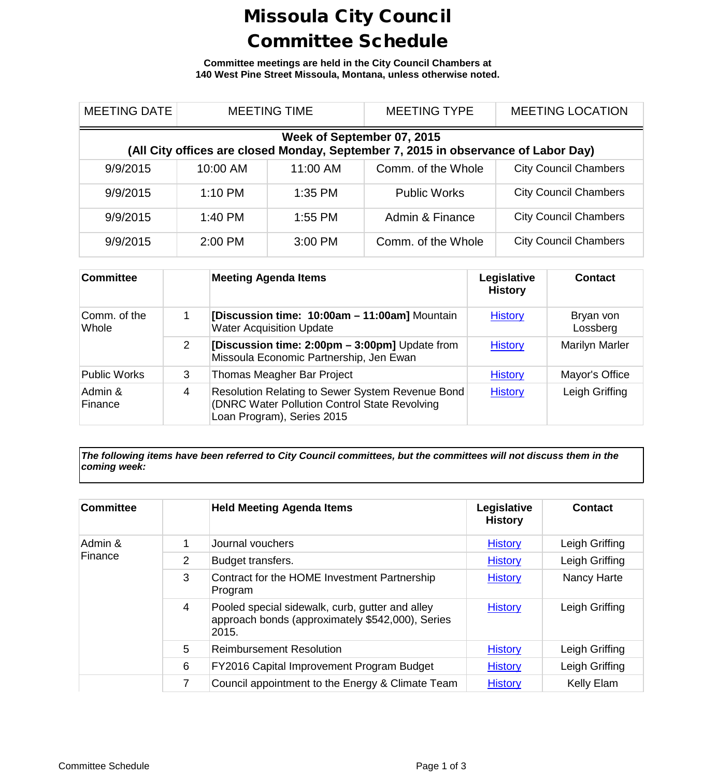## Missoula City Council Committee Schedule

**Committee meetings are held in the City Council Chambers at 140 West Pine Street Missoula, Montana, unless otherwise noted.**

| <b>MEETING DATE</b>                                                                                              | <b>MEETING TIME</b> |           | <b>MEETING TYPE</b> | <b>MEETING LOCATION</b>      |  |  |
|------------------------------------------------------------------------------------------------------------------|---------------------|-----------|---------------------|------------------------------|--|--|
| Week of September 07, 2015<br>(All City offices are closed Monday, September 7, 2015 in observance of Labor Day) |                     |           |                     |                              |  |  |
| 9/9/2015                                                                                                         | 10:00 AM            | 11:00 AM  | Comm. of the Whole  | <b>City Council Chambers</b> |  |  |
| 9/9/2015                                                                                                         | $1:10$ PM           | $1:35$ PM | <b>Public Works</b> | <b>City Council Chambers</b> |  |  |
| 9/9/2015                                                                                                         | $1:40$ PM           | $1:55$ PM | Admin & Finance     | <b>City Council Chambers</b> |  |  |
| 9/9/2015                                                                                                         | 2:00 PM             | 3:00 PM   | Comm. of the Whole  | <b>City Council Chambers</b> |  |  |

| <b>Committee</b>      |   | <b>Meeting Agenda Items</b>                                                                                                     | Legislative<br><b>History</b> | Contact               |
|-----------------------|---|---------------------------------------------------------------------------------------------------------------------------------|-------------------------------|-----------------------|
| Comm. of the<br>Whole |   | [Discussion time: 10:00am - 11:00am] Mountain<br><b>Water Acquisition Update</b>                                                | <b>History</b>                | Bryan von<br>Lossberg |
|                       | 2 | [Discussion time: 2:00pm - 3:00pm] Update from<br>Missoula Economic Partnership, Jen Ewan                                       | <b>History</b>                | <b>Marilyn Marler</b> |
| <b>Public Works</b>   | 3 | Thomas Meagher Bar Project                                                                                                      | <b>History</b>                | Mayor's Office        |
| Admin &<br>Finance    | 4 | Resolution Relating to Sewer System Revenue Bond<br>(DNRC Water Pollution Control State Revolving<br>Loan Program), Series 2015 | <b>History</b>                | Leigh Griffing        |

*The following items have been referred to City Council committees, but the committees will not discuss them in the coming week:*

| <b>Committee</b>   |   | <b>Held Meeting Agenda Items</b>                                                                             | Legislative<br><b>History</b> | <b>Contact</b> |
|--------------------|---|--------------------------------------------------------------------------------------------------------------|-------------------------------|----------------|
| Admin &<br>Finance |   | Journal vouchers                                                                                             | <b>History</b>                | Leigh Griffing |
|                    | 2 | Budget transfers.                                                                                            | <b>History</b>                | Leigh Griffing |
|                    | 3 | Contract for the HOME Investment Partnership<br>Program                                                      | <b>History</b>                | Nancy Harte    |
|                    | 4 | Pooled special sidewalk, curb, gutter and alley<br>approach bonds (approximately \$542,000), Series<br>2015. | <b>History</b>                | Leigh Griffing |
|                    | 5 | <b>Reimbursement Resolution</b>                                                                              | <b>History</b>                | Leigh Griffing |
|                    | 6 | FY2016 Capital Improvement Program Budget                                                                    | <b>History</b>                | Leigh Griffing |
|                    | 7 | Council appointment to the Energy & Climate Team                                                             | <b>History</b>                | Kelly Elam     |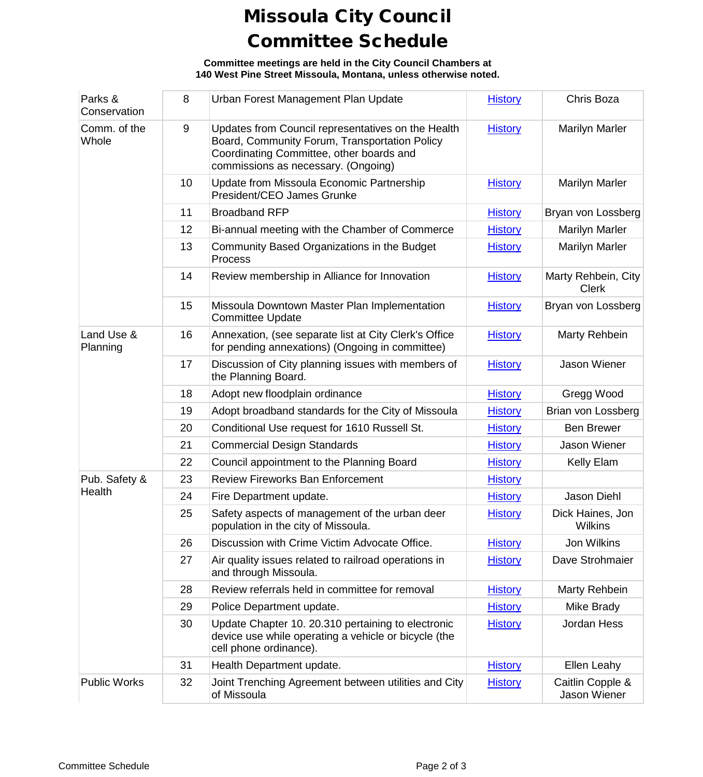## Missoula City Council Committee Schedule

**Committee meetings are held in the City Council Chambers at 140 West Pine Street Missoula, Montana, unless otherwise noted.**

| Parks &<br>Conservation | 8     | Urban Forest Management Plan Update                                                                                                                                                    | <b>History</b> | Chris Boza                          |
|-------------------------|-------|----------------------------------------------------------------------------------------------------------------------------------------------------------------------------------------|----------------|-------------------------------------|
| Comm. of the<br>Whole   | $9\,$ | Updates from Council representatives on the Health<br>Board, Community Forum, Transportation Policy<br>Coordinating Committee, other boards and<br>commissions as necessary. (Ongoing) | <b>History</b> | <b>Marilyn Marler</b>               |
|                         | 10    | Update from Missoula Economic Partnership<br>President/CEO James Grunke                                                                                                                | <b>History</b> | <b>Marilyn Marler</b>               |
|                         | 11    | <b>Broadband RFP</b>                                                                                                                                                                   | <b>History</b> | Bryan von Lossberg                  |
|                         | 12    | Bi-annual meeting with the Chamber of Commerce                                                                                                                                         | <b>History</b> | <b>Marilyn Marler</b>               |
|                         | 13    | Community Based Organizations in the Budget<br>Process                                                                                                                                 | <b>History</b> | <b>Marilyn Marler</b>               |
|                         | 14    | Review membership in Alliance for Innovation                                                                                                                                           | <b>History</b> | Marty Rehbein, City<br><b>Clerk</b> |
|                         | 15    | Missoula Downtown Master Plan Implementation<br><b>Committee Update</b>                                                                                                                | <b>History</b> | Bryan von Lossberg                  |
| Land Use &<br>Planning  | 16    | Annexation, (see separate list at City Clerk's Office<br>for pending annexations) (Ongoing in committee)                                                                               | <b>History</b> | Marty Rehbein                       |
|                         | 17    | Discussion of City planning issues with members of<br>the Planning Board.                                                                                                              | <b>History</b> | Jason Wiener                        |
|                         | 18    | Adopt new floodplain ordinance                                                                                                                                                         | <b>History</b> | Gregg Wood                          |
|                         | 19    | Adopt broadband standards for the City of Missoula                                                                                                                                     | <b>History</b> | Brian von Lossberg                  |
|                         | 20    | Conditional Use request for 1610 Russell St.                                                                                                                                           | <b>History</b> | <b>Ben Brewer</b>                   |
|                         | 21    | <b>Commercial Design Standards</b>                                                                                                                                                     | <b>History</b> | Jason Wiener                        |
|                         | 22    | Council appointment to the Planning Board                                                                                                                                              | <b>History</b> | Kelly Elam                          |
| Pub. Safety &           | 23    | <b>Review Fireworks Ban Enforcement</b>                                                                                                                                                | <b>History</b> |                                     |
| Health                  | 24    | Fire Department update.                                                                                                                                                                | <b>History</b> | Jason Diehl                         |
|                         | 25    | Safety aspects of management of the urban deer<br>population in the city of Missoula.                                                                                                  | <b>History</b> | Dick Haines, Jon<br>Wilkins         |
|                         | 26    | Discussion with Crime Victim Advocate Office.                                                                                                                                          | <b>History</b> | Jon Wilkins                         |
|                         | 27    | Air quality issues related to railroad operations in<br>and through Missoula.                                                                                                          | <b>History</b> | Dave Strohmaier                     |
|                         | 28    | Review referrals held in committee for removal                                                                                                                                         | <b>History</b> | Marty Rehbein                       |
|                         | 29    | Police Department update.                                                                                                                                                              | <b>History</b> | Mike Brady                          |
|                         | 30    | Update Chapter 10. 20.310 pertaining to electronic<br>device use while operating a vehicle or bicycle (the<br>cell phone ordinance).                                                   | <b>History</b> | Jordan Hess                         |
|                         | 31    | Health Department update.                                                                                                                                                              | <b>History</b> | Ellen Leahy                         |
| <b>Public Works</b>     | 32    | Joint Trenching Agreement between utilities and City<br>of Missoula                                                                                                                    | <b>History</b> | Caitlin Copple &<br>Jason Wiener    |